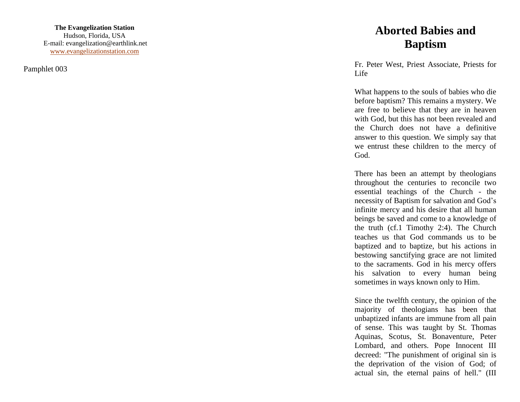**The Evangelization Station** Hudson, Florida, USA E -mail: evangelization@earthlink.net [www.evangelizationstation.com](http://www.pjpiisoe.org/)

Pamphlet 00 3

## **Aborted Babies and Baptism**

Fr. Peter West, Priest Associate, Priests for Life

What happens to the souls of babies who die before baptism? This remains a mystery. We are free to believe that they are in heaven with God, but this has not been revealed and the Church does not have a definitive answer to this question. We simply say that we entrust these children to the mercy of God.

There has been an attempt by theologians throughout the centuries to reconcile two essential teachings of the Church - the necessity of Baptism for salvation and God's infinite mercy and his desire that all human beings be saved and come to a knowledge of the truth (cf.1 Timothy 2:4). The Church teaches us that God commands us to be baptized and to baptize, but his actions in bestowing sanctifying grace are not limited to the sacraments. God in his mercy offers his salvation to every human being sometimes in ways known only to Him.

Since the twelfth century, the opinion of the majority of theologians has been that unbaptized infants are immune from all pain of sense. This was taught by St. Thomas Aquinas, Scotus, St. Bonaventure, Peter Lombard, and others. Pope Innocent III decreed: "The punishment of original sin is the deprivation of the vision of God; of actual sin, the eternal pains of hell." (III